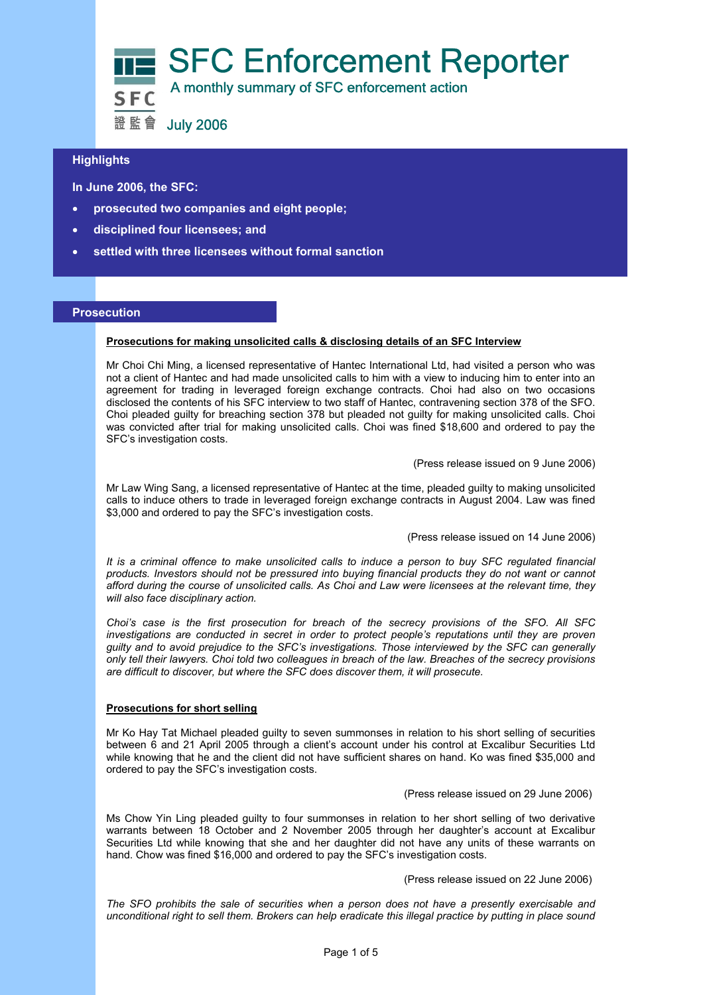

# **Highlights**

 **In June 2006, the SFC:** 

- **prosecuted two companies and eight people;**
- **disciplined four licensees; and**
- **settled with three licensees without formal sanction**

### **Prosecution**

#### **Prosecutions for making unsolicited calls & disclosing details of an SFC Interview**

Mr Choi Chi Ming, a licensed representative of Hantec International Ltd, had visited a person who was not a client of Hantec and had made unsolicited calls to him with a view to inducing him to enter into an agreement for trading in leveraged foreign exchange contracts. Choi had also on two occasions disclosed the contents of his SFC interview to two staff of Hantec, contravening section 378 of the SFO. Choi pleaded guilty for breaching section 378 but pleaded not guilty for making unsolicited calls. Choi was convicted after trial for making unsolicited calls. Choi was fined \$18,600 and ordered to pay the SFC's investigation costs.

(Press release issued on 9 June 2006)

Mr Law Wing Sang, a licensed representative of Hantec at the time, pleaded guilty to making unsolicited calls to induce others to trade in leveraged foreign exchange contracts in August 2004. Law was fined \$3,000 and ordered to pay the SFC's investigation costs.

(Press release issued on 14 June 2006)

*It is a criminal offence to make unsolicited calls to induce a person to buy SFC regulated financial products. Investors should not be pressured into buying financial products they do not want or cannot afford during the course of unsolicited calls. As Choi and Law were licensees at the relevant time, they will also face disciplinary action.* 

*Choi's case is the first prosecution for breach of the secrecy provisions of the SFO. All SFC investigations are conducted in secret in order to protect people's reputations until they are proven guilty and to avoid prejudice to the SFC's investigations. Those interviewed by the SFC can generally only tell their lawyers. Choi told two colleagues in breach of the law. Breaches of the secrecy provisions are difficult to discover, but where the SFC does discover them, it will prosecute.* 

## **Prosecutions for short selling**

Mr Ko Hay Tat Michael pleaded guilty to seven summonses in relation to his short selling of securities between 6 and 21 April 2005 through a client's account under his control at Excalibur Securities Ltd while knowing that he and the client did not have sufficient shares on hand. Ko was fined \$35,000 and ordered to pay the SFC's investigation costs.

(Press release issued on 29 June 2006)

Ms Chow Yin Ling pleaded guilty to four summonses in relation to her short selling of two derivative warrants between 18 October and 2 November 2005 through her daughter's account at Excalibur Securities Ltd while knowing that she and her daughter did not have any units of these warrants on hand. Chow was fined \$16,000 and ordered to pay the SFC's investigation costs.

(Press release issued on 22 June 2006)

*The SFO prohibits the sale of securities when a person does not have a presently exercisable and unconditional right to sell them. Brokers can help eradicate this illegal practice by putting in place sound*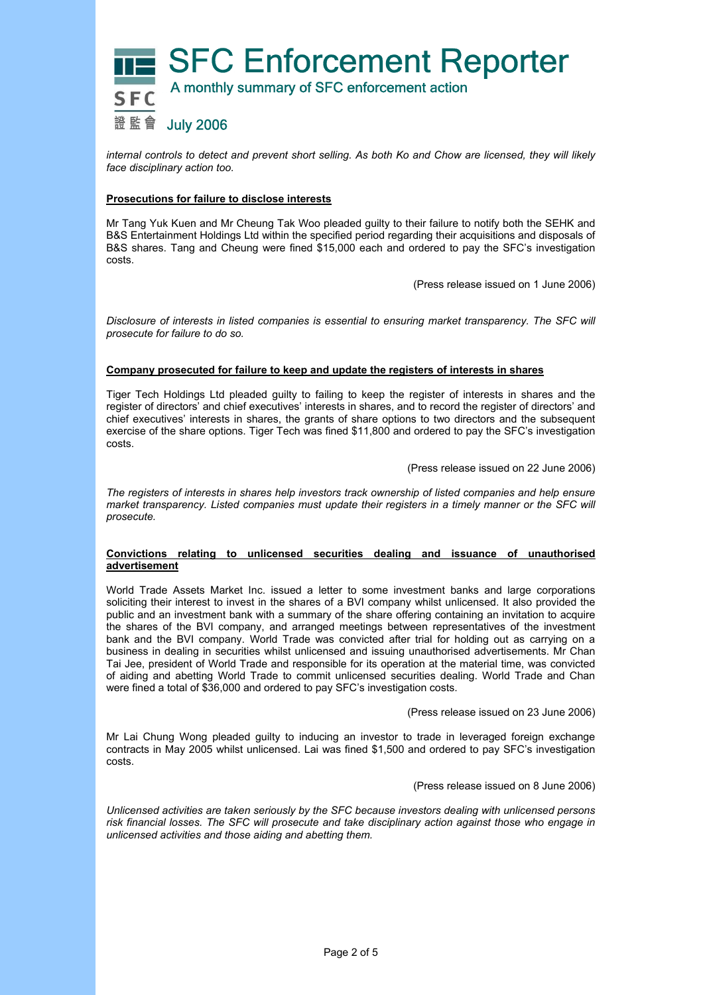

*internal controls to detect and prevent short selling. As both Ko and Chow are licensed, they will likely face disciplinary action too.* 

### **Prosecutions for failure to disclose interests**

Mr Tang Yuk Kuen and Mr Cheung Tak Woo pleaded guilty to their failure to notify both the SEHK and B&S Entertainment Holdings Ltd within the specified period regarding their acquisitions and disposals of B&S shares. Tang and Cheung were fined \$15,000 each and ordered to pay the SFC's investigation costs.

(Press release issued on 1 June 2006)

*Disclosure of interests in listed companies is essential to ensuring market transparency. The SFC will prosecute for failure to do so.* 

### **Company prosecuted for failure to keep and update the registers of interests in shares**

Tiger Tech Holdings Ltd pleaded guilty to failing to keep the register of interests in shares and the register of directors' and chief executives' interests in shares, and to record the register of directors' and chief executives' interests in shares, the grants of share options to two directors and the subsequent exercise of the share options. Tiger Tech was fined \$11,800 and ordered to pay the SFC's investigation costs.

#### (Press release issued on 22 June 2006)

*The registers of interests in shares help investors track ownership of listed companies and help ensure market transparency. Listed companies must update their registers in a timely manner or the SFC will prosecute.* 

### **Convictions relating to unlicensed securities dealing and issuance of unauthorised advertisement**

World Trade Assets Market Inc. issued a letter to some investment banks and large corporations soliciting their interest to invest in the shares of a BVI company whilst unlicensed. It also provided the public and an investment bank with a summary of the share offering containing an invitation to acquire the shares of the BVI company, and arranged meetings between representatives of the investment bank and the BVI company. World Trade was convicted after trial for holding out as carrying on a business in dealing in securities whilst unlicensed and issuing unauthorised advertisements. Mr Chan Tai Jee, president of World Trade and responsible for its operation at the material time, was convicted of aiding and abetting World Trade to commit unlicensed securities dealing. World Trade and Chan were fined a total of \$36,000 and ordered to pay SFC's investigation costs.

### (Press release issued on 23 June 2006)

Mr Lai Chung Wong pleaded guilty to inducing an investor to trade in leveraged foreign exchange contracts in May 2005 whilst unlicensed. Lai was fined \$1,500 and ordered to pay SFC's investigation costs.

### (Press release issued on 8 June 2006)

*Unlicensed activities are taken seriously by the SFC because investors dealing with unlicensed persons risk financial losses. The SFC will prosecute and take disciplinary action against those who engage in unlicensed activities and those aiding and abetting them.*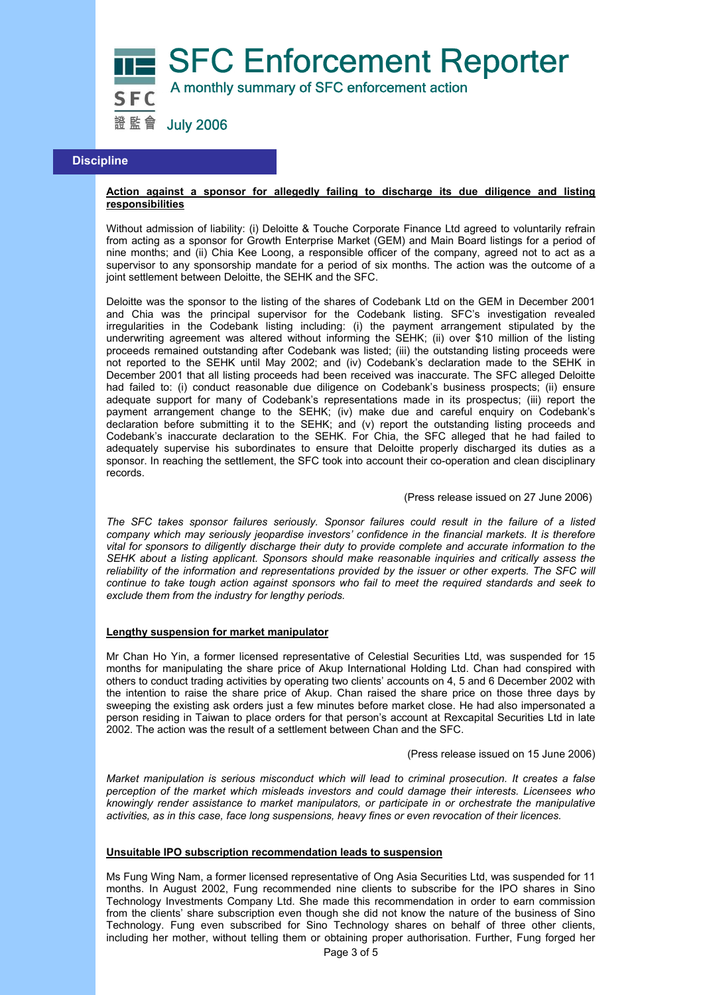

## **Discipline**

### **Action against a sponsor for allegedly failing to discharge its due diligence and listing responsibilities**

Without admission of liability: (i) Deloitte & Touche Corporate Finance Ltd agreed to voluntarily refrain from acting as a sponsor for Growth Enterprise Market (GEM) and Main Board listings for a period of nine months; and (ii) Chia Kee Loong, a responsible officer of the company, agreed not to act as a supervisor to any sponsorship mandate for a period of six months. The action was the outcome of a joint settlement between Deloitte, the SEHK and the SFC.

Deloitte was the sponsor to the listing of the shares of Codebank Ltd on the GEM in December 2001 and Chia was the principal supervisor for the Codebank listing. SFC's investigation revealed irregularities in the Codebank listing including: (i) the payment arrangement stipulated by the underwriting agreement was altered without informing the SEHK; (ii) over \$10 million of the listing proceeds remained outstanding after Codebank was listed; (iii) the outstanding listing proceeds were not reported to the SEHK until May 2002; and (iv) Codebank's declaration made to the SEHK in December 2001 that all listing proceeds had been received was inaccurate. The SFC alleged Deloitte had failed to: (i) conduct reasonable due diligence on Codebank's business prospects; (ii) ensure adequate support for many of Codebank's representations made in its prospectus; (iii) report the payment arrangement change to the SEHK; (iv) make due and careful enquiry on Codebank's declaration before submitting it to the SEHK; and (v) report the outstanding listing proceeds and Codebank's inaccurate declaration to the SEHK. For Chia, the SFC alleged that he had failed to adequately supervise his subordinates to ensure that Deloitte properly discharged its duties as a sponsor. In reaching the settlement, the SFC took into account their co-operation and clean disciplinary records.

### (Press release issued on 27 June 2006)

*The SFC takes sponsor failures seriously. Sponsor failures could result in the failure of a listed company which may seriously jeopardise investors' confidence in the financial markets. It is therefore vital for sponsors to diligently discharge their duty to provide complete and accurate information to the SEHK about a listing applicant. Sponsors should make reasonable inquiries and critically assess the reliability of the information and representations provided by the issuer or other experts. The SFC will continue to take tough action against sponsors who fail to meet the required standards and seek to exclude them from the industry for lengthy periods.* 

#### **Lengthy suspension for market manipulator**

Mr Chan Ho Yin, a former licensed representative of Celestial Securities Ltd, was suspended for 15 months for manipulating the share price of Akup International Holding Ltd. Chan had conspired with others to conduct trading activities by operating two clients' accounts on 4, 5 and 6 December 2002 with the intention to raise the share price of Akup. Chan raised the share price on those three days by sweeping the existing ask orders just a few minutes before market close. He had also impersonated a person residing in Taiwan to place orders for that person's account at Rexcapital Securities Ltd in late 2002. The action was the result of a settlement between Chan and the SFC.

(Press release issued on 15 June 2006)

*Market manipulation is serious misconduct which will lead to criminal prosecution. It creates a false perception of the market which misleads investors and could damage their interests. Licensees who knowingly render assistance to market manipulators, or participate in or orchestrate the manipulative activities, as in this case, face long suspensions, heavy fines or even revocation of their licences.* 

### **Unsuitable IPO subscription recommendation leads to suspension**

Ms Fung Wing Nam, a former licensed representative of Ong Asia Securities Ltd, was suspended for 11 months. In August 2002, Fung recommended nine clients to subscribe for the IPO shares in Sino Technology Investments Company Ltd. She made this recommendation in order to earn commission from the clients' share subscription even though she did not know the nature of the business of Sino Technology. Fung even subscribed for Sino Technology shares on behalf of three other clients, including her mother, without telling them or obtaining proper authorisation. Further, Fung forged her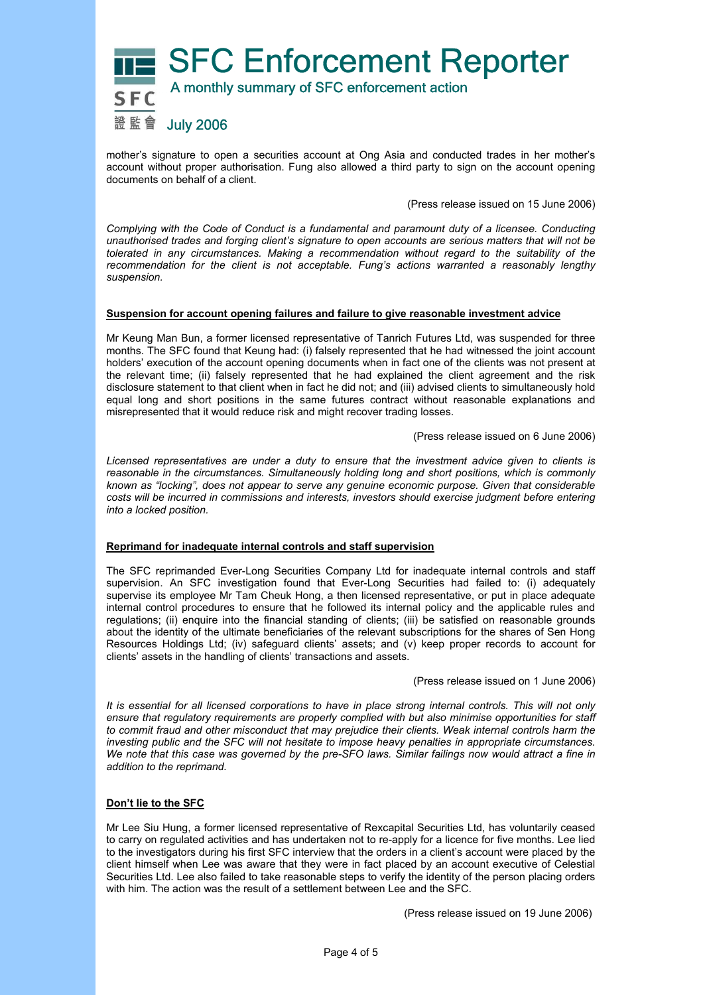

mother's signature to open a securities account at Ong Asia and conducted trades in her mother's account without proper authorisation. Fung also allowed a third party to sign on the account opening documents on behalf of a client.

(Press release issued on 15 June 2006)

*Complying with the Code of Conduct is a fundamental and paramount duty of a licensee. Conducting unauthorised trades and forging client's signature to open accounts are serious matters that will not be tolerated in any circumstances. Making a recommendation without regard to the suitability of the recommendation for the client is not acceptable. Fung's actions warranted a reasonably lengthy suspension.* 

### **Suspension for account opening failures and failure to give reasonable investment advice**

Mr Keung Man Bun, a former licensed representative of Tanrich Futures Ltd, was suspended for three months. The SFC found that Keung had: (i) falsely represented that he had witnessed the joint account holders' execution of the account opening documents when in fact one of the clients was not present at the relevant time; (ii) falsely represented that he had explained the client agreement and the risk disclosure statement to that client when in fact he did not; and (iii) advised clients to simultaneously hold equal long and short positions in the same futures contract without reasonable explanations and misrepresented that it would reduce risk and might recover trading losses.

(Press release issued on 6 June 2006)

*Licensed representatives are under a duty to ensure that the investment advice given to clients is reasonable in the circumstances. Simultaneously holding long and short positions, which is commonly known as "locking", does not appear to serve any genuine economic purpose. Given that considerable costs will be incurred in commissions and interests, investors should exercise judgment before entering into a locked position.* 

### **Reprimand for inadequate internal controls and staff supervision**

The SFC reprimanded Ever-Long Securities Company Ltd for inadequate internal controls and staff supervision. An SFC investigation found that Ever-Long Securities had failed to: (i) adequately supervise its employee Mr Tam Cheuk Hong, a then licensed representative, or put in place adequate internal control procedures to ensure that he followed its internal policy and the applicable rules and regulations; (ii) enquire into the financial standing of clients; (iii) be satisfied on reasonable grounds about the identity of the ultimate beneficiaries of the relevant subscriptions for the shares of Sen Hong Resources Holdings Ltd; (iv) safeguard clients' assets; and (v) keep proper records to account for clients' assets in the handling of clients' transactions and assets.

(Press release issued on 1 June 2006)

*It is essential for all licensed corporations to have in place strong internal controls. This will not only ensure that regulatory requirements are properly complied with but also minimise opportunities for staff to commit fraud and other misconduct that may prejudice their clients. Weak internal controls harm the investing public and the SFC will not hesitate to impose heavy penalties in appropriate circumstances. We note that this case was governed by the pre-SFO laws. Similar failings now would attract a fine in addition to the reprimand.* 

### **Don't lie to the SFC**

Mr Lee Siu Hung, a former licensed representative of Rexcapital Securities Ltd, has voluntarily ceased to carry on regulated activities and has undertaken not to re-apply for a licence for five months. Lee lied to the investigators during his first SFC interview that the orders in a client's account were placed by the client himself when Lee was aware that they were in fact placed by an account executive of Celestial Securities Ltd. Lee also failed to take reasonable steps to verify the identity of the person placing orders with him. The action was the result of a settlement between Lee and the SFC.

(Press release issued on 19 June 2006)